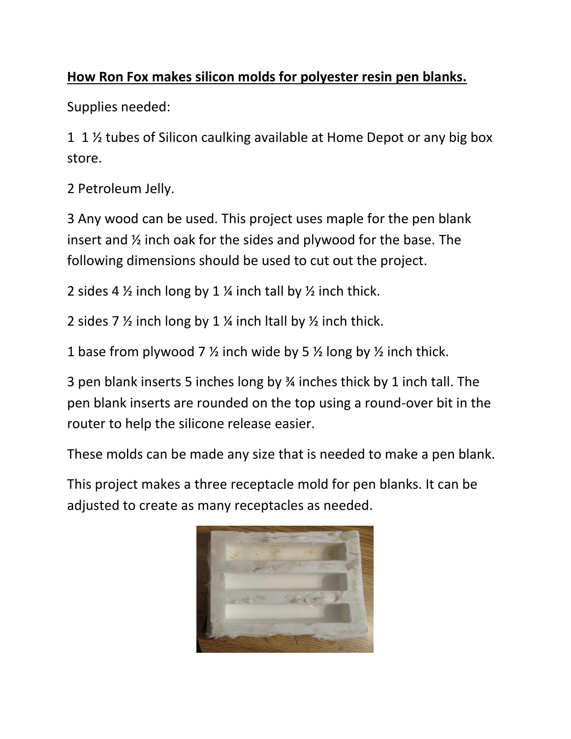## **How Ron Fox makes silicon molds for polyester resin pen blanks.**

Supplies needed:

1 1 ½ tubes of Silicon caulking available at Home Depot or any big box store.

2 Petroleum Jelly.

3 Any wood can be used. This project uses maple for the pen blank insert and ½ inch oak for the sides and plywood for the base. The following dimensions should be used to cut out the project.

2 sides 4  $\frac{1}{2}$  inch long by 1  $\frac{1}{2}$  inch tall by  $\frac{1}{2}$  inch thick.

2 sides 7 ½ inch long by 1 ¼ inch ltall by ½ inch thick.

1 base from plywood 7  $\frac{1}{2}$  inch wide by 5  $\frac{1}{2}$  long by  $\frac{1}{2}$  inch thick.

3 pen blank inserts 5 inches long by ¾ inches thick by 1 inch tall. The pen blank inserts are rounded on the top using a round-over bit in the router to help the silicone release easier.

These molds can be made any size that is needed to make a pen blank.

This project makes a three receptacle mold for pen blanks. It can be adjusted to create as many receptacles as needed.

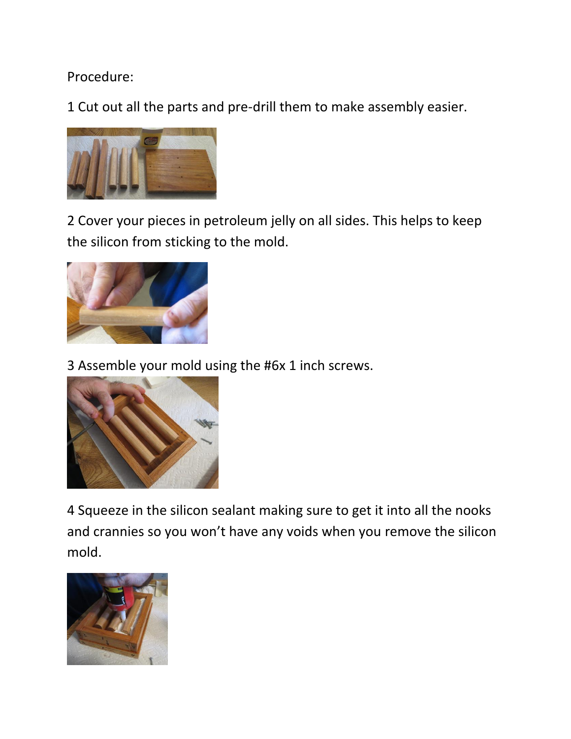## Procedure:

1 Cut out all the parts and pre-drill them to make assembly easier.



2 Cover your pieces in petroleum jelly on all sides. This helps to keep the silicon from sticking to the mold.



3 Assemble your mold using the #6x 1 inch screws.



4 Squeeze in the silicon sealant making sure to get it into all the nooks and crannies so you won't have any voids when you remove the silicon mold.